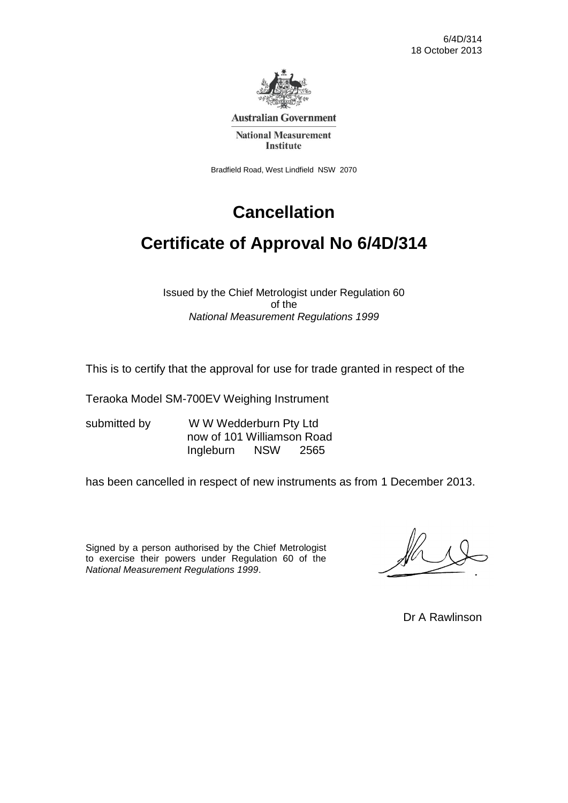

**Australian Government** 

**National Measurement Institute** 

Bradfield Road, West Lindfield NSW 2070

# **Cancellation**

# **Certificate of Approval No 6/4D/314**

Issued by the Chief Metrologist under Regulation 60 of the *National Measurement Regulations 1999*

This is to certify that the approval for use for trade granted in respect of the

Teraoka Model SM-700EV Weighing Instrument

submitted by WW Wedderburn Pty Ltd now of 101 Williamson Road Ingleburn NSW 2565

has been cancelled in respect of new instruments as from 1 December 2013.

Signed by a person authorised by the Chief Metrologist to exercise their powers under Regulation 60 of the *National Measurement Regulations 1999*.

Dr A Rawlinson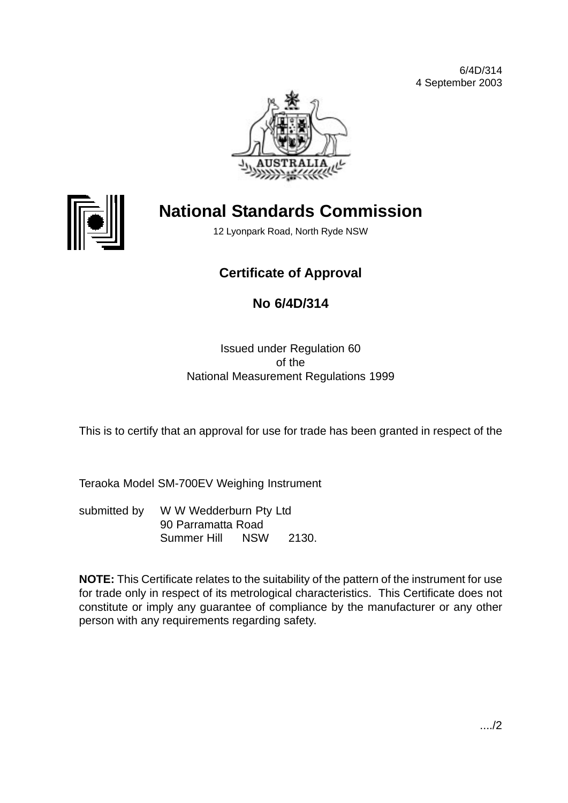



# **National Standards Commission**

12 Lyonpark Road, North Ryde NSW

## **Certificate of Approval**

## **No 6/4D/314**

#### Issued under Regulation 60 of the National Measurement Regulations 1999

This is to certify that an approval for use for trade has been granted in respect of the

Teraoka Model SM-700EV Weighing Instrument

submitted by W W Wedderburn Pty Ltd 90 Parramatta Road Summer Hill NSW 2130.

**NOTE:** This Certificate relates to the suitability of the pattern of the instrument for use for trade only in respect of its metrological characteristics. This Certificate does not constitute or imply any guarantee of compliance by the manufacturer or any other person with any requirements regarding safety.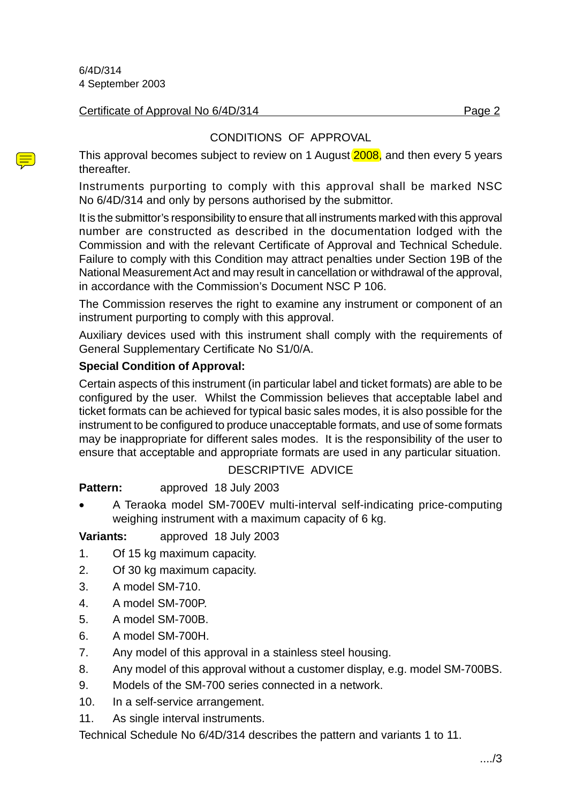#### Certificate of Approval No 6/4D/314 Page 2

#### CONDITIONS OF APPROVAL

This approval becomes subject to review on 1 August 2008, and then every 5 years thereafter.

Instruments purporting to comply with this approval shall be marked NSC No 6/4D/314 and only by persons authorised by the submittor.

It is the submittor's responsibility to ensure that all instruments marked with this approval number are constructed as described in the documentation lodged with the Commission and with the relevant Certificate of Approval and Technical Schedule. Failure to comply with this Condition may attract penalties under Section 19B of the National Measurement Act and may result in cancellation or withdrawal of the approval, in accordance with the Commission's Document NSC P 106.

The Commission reserves the right to examine any instrument or component of an instrument purporting to comply with this approval.

Auxiliary devices used with this instrument shall comply with the requirements of General Supplementary Certificate No S1/0/A.

#### **Special Condition of Approval:**

Certain aspects of this instrument (in particular label and ticket formats) are able to be configured by the user. Whilst the Commission believes that acceptable label and ticket formats can be achieved for typical basic sales modes, it is also possible for the instrument to be configured to produce unacceptable formats, and use of some formats may be inappropriate for different sales modes. It is the responsibility of the user to ensure that acceptable and appropriate formats are used in any particular situation.

#### DESCRIPTIVE ADVICE

**Pattern:** approved 18 July 2003

- 
- A Teraoka model SM-700EV multi-interval self-indicating price-computing weighing instrument with a maximum capacity of 6 kg.

#### **Variants:** approved 18 July 2003

- 1. Of 15 kg maximum capacity.
- 2. Of 30 kg maximum capacity.
- 3. A model SM-710.
- 4. A model SM-700P.
- 5. A model SM-700B.
- 6. A model SM-700H.
- 7. Any model of this approval in a stainless steel housing.
- 8. Any model of this approval without a customer display, e.g. model SM-700BS.
- 9. Models of the SM-700 series connected in a network.
- 10. In a self-service arrangement.
- 11. As single interval instruments.

Technical Schedule No 6/4D/314 describes the pattern and variants 1 to 11.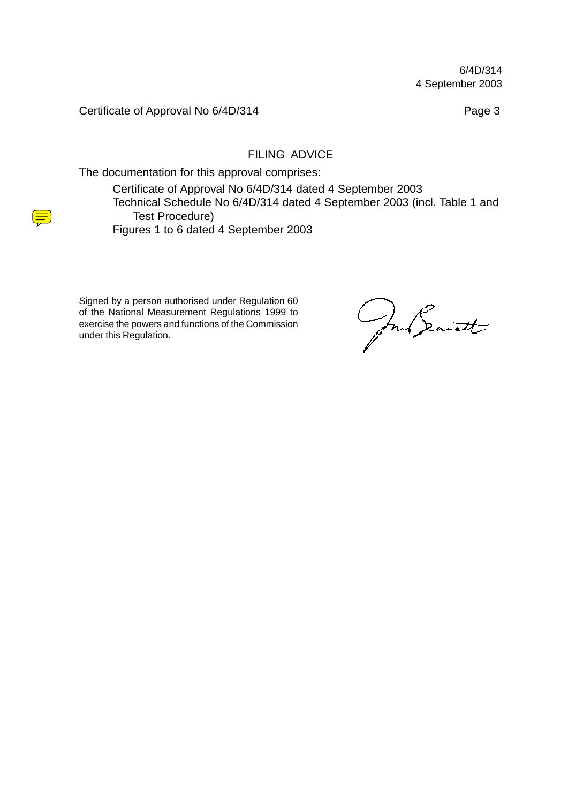Certificate of Approval No 6/4D/314 Page 3

FILING ADVICE

The documentation for this approval comprises:

Certificate of Approval No 6/4D/314 dated 4 September 2003 Technical Schedule No 6/4D/314 dated 4 September 2003 (incl. Table 1 and Test Procedure) Figures 1 to 6 dated 4 September 2003

Signed by a person authorised under Regulation 60 of the National Measurement Regulations 1999 to exercise the powers and functions of the Commission under this Regulation.

Jour Seanett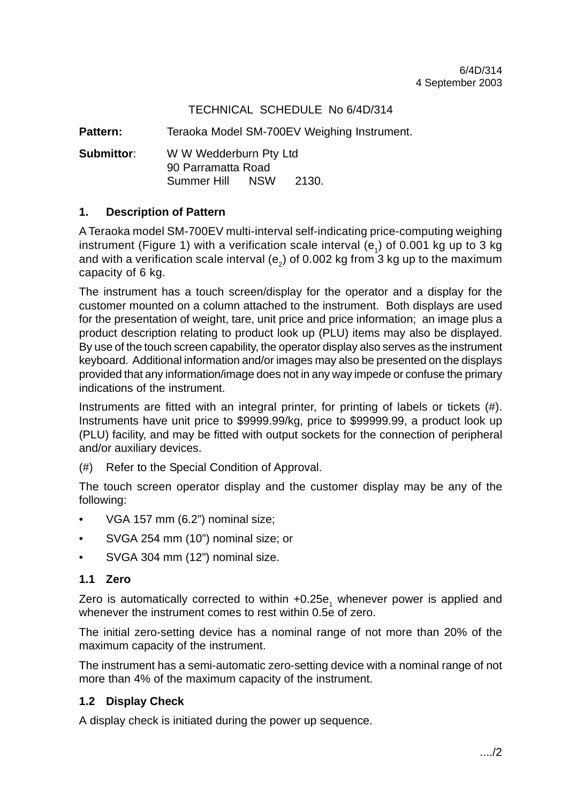#### TECHNICAL SCHEDULE No 6/4D/314

Pattern: Teraoka Model SM-700EV Weighing Instrument.

**Submittor**: W W Wedderburn Pty Ltd 90 Parramatta Road Summer Hill NSW 2130.

#### **1. Description of Pattern**

A Teraoka model SM-700EV multi-interval self-indicating price-computing weighing instrument (Figure 1) with a verification scale interval  $(e_1)$  of 0.001 kg up to 3 kg and with a verification scale interval ( $e_a$ ) of 0.002 kg from 3 kg up to the maximum capacity of 6 kg.

The instrument has a touch screen/display for the operator and a display for the customer mounted on a column attached to the instrument. Both displays are used for the presentation of weight, tare, unit price and price information; an image plus a product description relating to product look up (PLU) items may also be displayed. By use of the touch screen capability, the operator display also serves as the instrument keyboard. Additional information and/or images may also be presented on the displays provided that any information/image does not in any way impede or confuse the primary indications of the instrument.

Instruments are fitted with an integral printer, for printing of labels or tickets (#). Instruments have unit price to \$9999.99/kg, price to \$99999.99, a product look up (PLU) facility, and may be fitted with output sockets for the connection of peripheral and/or auxiliary devices.

(#) Refer to the Special Condition of Approval.

The touch screen operator display and the customer display may be any of the following:

- VGA 157 mm (6.2") nominal size;
- SVGA 254 mm (10") nominal size; or
- SVGA 304 mm (12") nominal size.

#### **1.1 Zero**

Zero is automatically corrected to within +0.25e<sub>1</sub> whenever power is applied and whenever the instrument comes to rest within 0.5e of zero.

The initial zero-setting device has a nominal range of not more than 20% of the maximum capacity of the instrument.

The instrument has a semi-automatic zero-setting device with a nominal range of not more than 4% of the maximum capacity of the instrument.

#### **1.2 Display Check**

A display check is initiated during the power up sequence.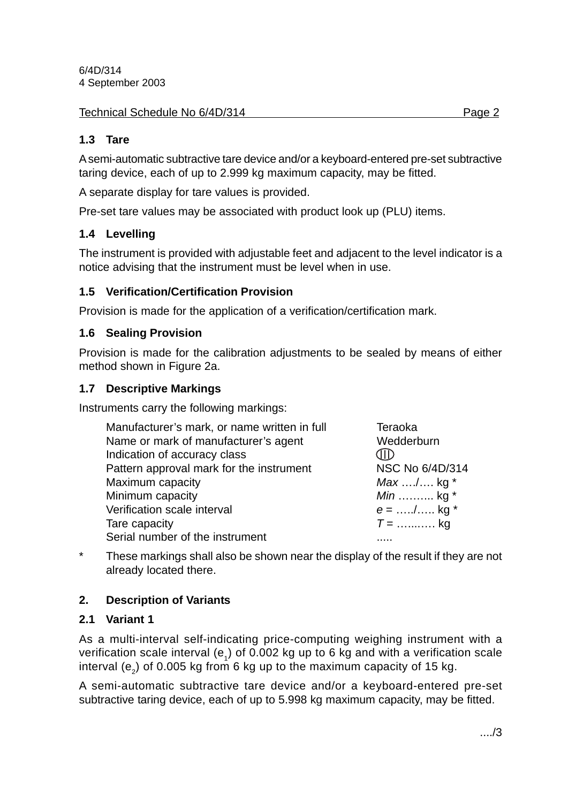#### **1.3 Tare**

A semi-automatic subtractive tare device and/or a keyboard-entered pre-set subtractive taring device, each of up to 2.999 kg maximum capacity, may be fitted.

A separate display for tare values is provided.

Pre-set tare values may be associated with product look up (PLU) items.

#### **1.4 Levelling**

The instrument is provided with adjustable feet and adjacent to the level indicator is a notice advising that the instrument must be level when in use.

#### **1.5 Verification/Certification Provision**

Provision is made for the application of a verification/certification mark.

#### **1.6 Sealing Provision**

Provision is made for the calibration adjustments to be sealed by means of either method shown in Figure 2a.

#### **1.7 Descriptive Markings**

Instruments carry the following markings:

| Manufacturer's mark, or name written in full | Teraoka                    |
|----------------------------------------------|----------------------------|
| Name or mark of manufacturer's agent         | Wedderburn                 |
| Indication of accuracy class                 |                            |
| Pattern approval mark for the instrument     | NSC No 6/4D/314            |
| Maximum capacity                             | $Max \dots / \dots$ kg $*$ |
| Minimum capacity                             | <i>Min</i> kg $*$          |
| Verification scale interval                  | $e =$ / kg *               |
| Tare capacity                                | $T =$ kg                   |
| Serial number of the instrument              |                            |

\* These markings shall also be shown near the display of the result if they are not already located there.

#### **2. Description of Variants**

#### **2.1 Variant 1**

As a multi-interval self-indicating price-computing weighing instrument with a verification scale interval (e<sub>1</sub>) of 0.002 kg up to 6 kg and with a verification scale interval  $(e_2)$  of 0.005 kg from 6 kg up to the maximum capacity of 15 kg.

A semi-automatic subtractive tare device and/or a keyboard-entered pre-set subtractive taring device, each of up to 5.998 kg maximum capacity, may be fitted.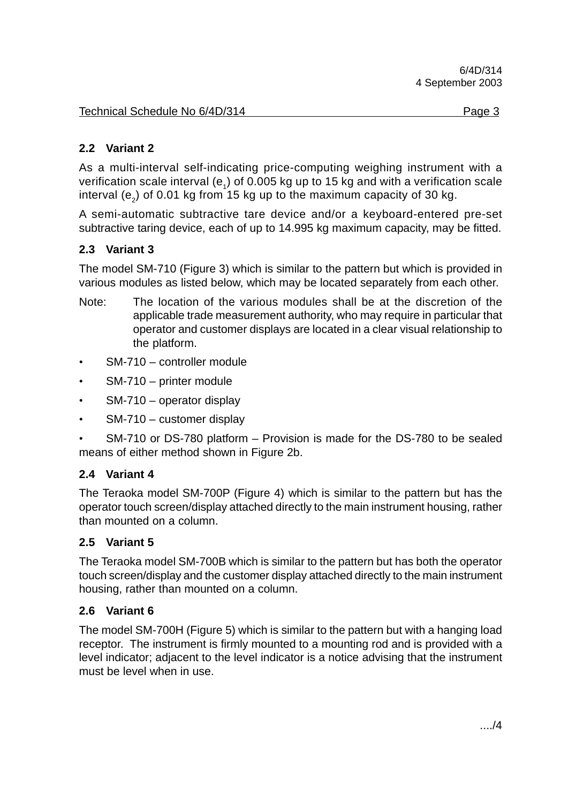#### **2.2 Variant 2**

As a multi-interval self-indicating price-computing weighing instrument with a verification scale interval ( $e_1$ ) of 0.005 kg up to 15 kg and with a verification scale interval  $(e_2)$  of 0.01 kg from 15 kg up to the maximum capacity of 30 kg.

A semi-automatic subtractive tare device and/or a keyboard-entered pre-set subtractive taring device, each of up to 14.995 kg maximum capacity, may be fitted.

#### **2.3 Variant 3**

The model SM-710 (Figure 3) which is similar to the pattern but which is provided in various modules as listed below, which may be located separately from each other.

- Note: The location of the various modules shall be at the discretion of the applicable trade measurement authority, who may require in particular that operator and customer displays are located in a clear visual relationship to the platform.
- SM-710 controller module
- SM-710 printer module
- SM-710 operator display
- SM-710 customer display
- SM-710 or DS-780 platform Provision is made for the DS-780 to be sealed means of either method shown in Figure 2b.

#### **2.4 Variant 4**

The Teraoka model SM-700P (Figure 4) which is similar to the pattern but has the operator touch screen/display attached directly to the main instrument housing, rather than mounted on a column.

#### **2.5 Variant 5**

The Teraoka model SM-700B which is similar to the pattern but has both the operator touch screen/display and the customer display attached directly to the main instrument housing, rather than mounted on a column.

#### **2.6 Variant 6**

The model SM-700H (Figure 5) which is similar to the pattern but with a hanging load receptor. The instrument is firmly mounted to a mounting rod and is provided with a level indicator; adjacent to the level indicator is a notice advising that the instrument must be level when in use.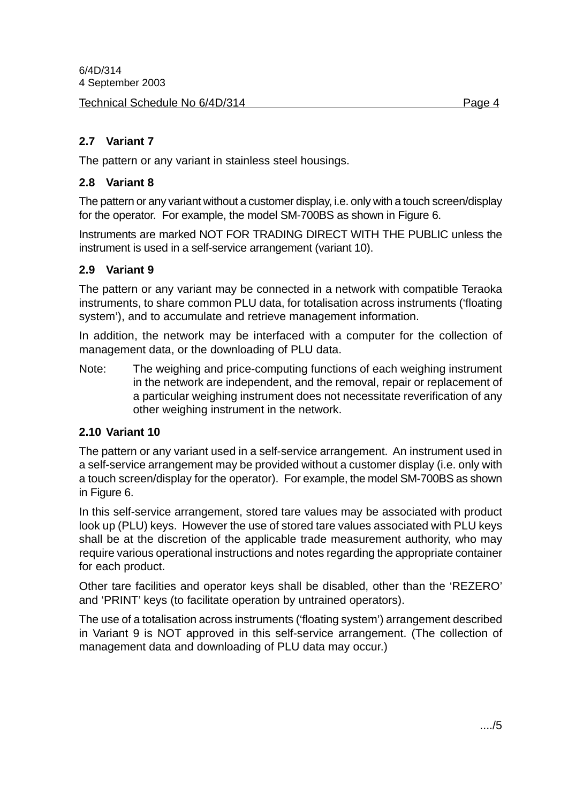Technical Schedule No 6/4D/314 Page 4

#### **2.7 Variant 7**

The pattern or any variant in stainless steel housings.

#### **2.8 Variant 8**

The pattern or any variant without a customer display, i.e. only with a touch screen/display for the operator. For example, the model SM-700BS as shown in Figure 6.

Instruments are marked NOT FOR TRADING DIRECT WITH THE PUBLIC unless the instrument is used in a self-service arrangement (variant 10).

#### **2.9 Variant 9**

The pattern or any variant may be connected in a network with compatible Teraoka instruments, to share common PLU data, for totalisation across instruments ('floating system'), and to accumulate and retrieve management information.

In addition, the network may be interfaced with a computer for the collection of management data, or the downloading of PLU data.

Note: The weighing and price-computing functions of each weighing instrument in the network are independent, and the removal, repair or replacement of a particular weighing instrument does not necessitate reverification of any other weighing instrument in the network.

#### **2.10 Variant 10**

The pattern or any variant used in a self-service arrangement. An instrument used in a self-service arrangement may be provided without a customer display (i.e. only with a touch screen/display for the operator). For example, the model SM-700BS as shown in Figure 6.

In this self-service arrangement, stored tare values may be associated with product look up (PLU) keys. However the use of stored tare values associated with PLU keys shall be at the discretion of the applicable trade measurement authority, who may require various operational instructions and notes regarding the appropriate container for each product.

Other tare facilities and operator keys shall be disabled, other than the 'REZERO' and 'PRINT' keys (to facilitate operation by untrained operators).

The use of a totalisation across instruments ('floating system') arrangement described in Variant 9 is NOT approved in this self-service arrangement. (The collection of management data and downloading of PLU data may occur.)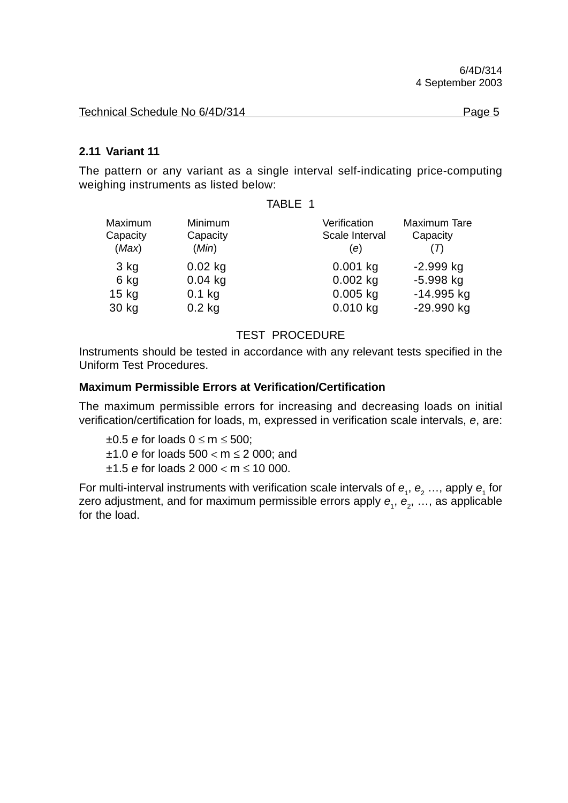Technical Schedule No 6/4D/314 **Page 5** 

# **2.11 Variant 11**

The pattern or any variant as a single interval self-indicating price-computing weighing instruments as listed below:

#### TABLE 1

| Maximum<br>Capacity<br>(Max) | Minimum<br>Capacity<br>(Min) | Verification<br>Scale Interval<br>(e) | Maximum Tare<br>Capacity |
|------------------------------|------------------------------|---------------------------------------|--------------------------|
| $3$ kg                       | $0.02$ kg                    | $0.001$ kg                            | $-2.999$ kg              |
| 6 kg                         | $0.04$ kg                    | $0.002$ kg                            | $-5.998$ kg              |
| $15$ kg                      | $0.1$ kg                     | $0.005$ kg                            | $-14.995$ kg             |
| 30 kg                        | $0.2$ kg                     | $0.010$ kg                            | -29.990 kg               |

#### TEST PROCEDURE

Instruments should be tested in accordance with any relevant tests specified in the Uniform Test Procedures.

#### **Maximum Permissible Errors at Verification/Certification**

The maximum permissible errors for increasing and decreasing loads on initial verification/certification for loads, m, expressed in verification scale intervals, *e*, are:

±0.5 *e* for loads 0 ≤ m ≤ 500; ±1.0 *e* for loads 500 < m ≤ 2 000; and ±1.5 *e* for loads 2 000 < m ≤ 10 000.

For multi-interval instruments with verification scale intervals of  $e_1$ ,  $e_2$  ..., apply  $e_1$  for zero adjustment, and for maximum permissible errors apply  $\bm{e}_{_{1}},$   $\bm{e}_{_{2}},$  …, as applicable for the load.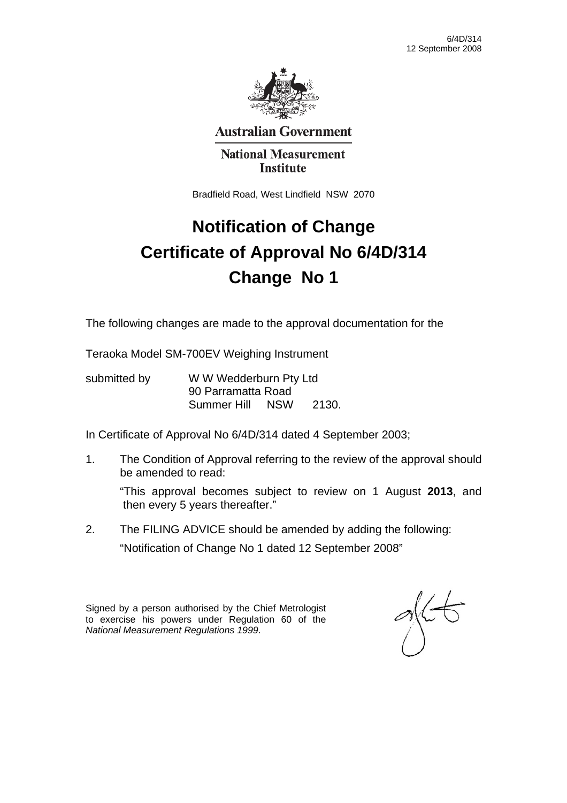

**Australian Government** 

#### **National Measurement Institute**

Bradfield Road, West Lindfield NSW 2070

# **Notification of Change Certificate of Approval No 6/4D/314 Change No 1**

The following changes are made to the approval documentation for the

Teraoka Model SM-700EV Weighing Instrument

submitted by WWW Wedderburn Pty Ltd 90 Parramatta Road Summer Hill NSW 2130.

In Certificate of Approval No 6/4D/314 dated 4 September 2003;

1. The Condition of Approval referring to the review of the approval should be amended to read:

"This approval becomes subject to review on 1 August **2013**, and then every 5 years thereafter."

2. The FILING ADVICE should be amended by adding the following: "Notification of Change No 1 dated 12 September 2008"

Signed by a person authorised by the Chief Metrologist to exercise his powers under Regulation 60 of the *National Measurement Regulations 1999*.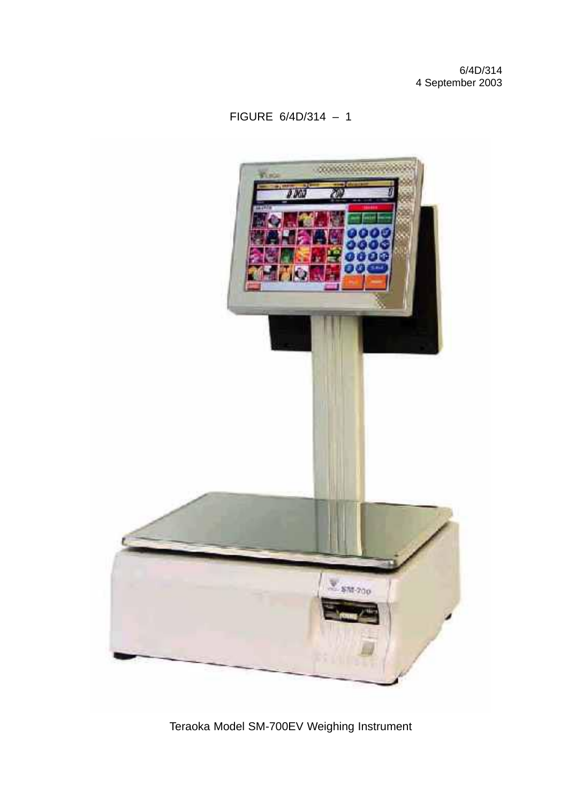### FIGURE 6/4D/314 – 1



Teraoka Model SM-700EV Weighing Instrument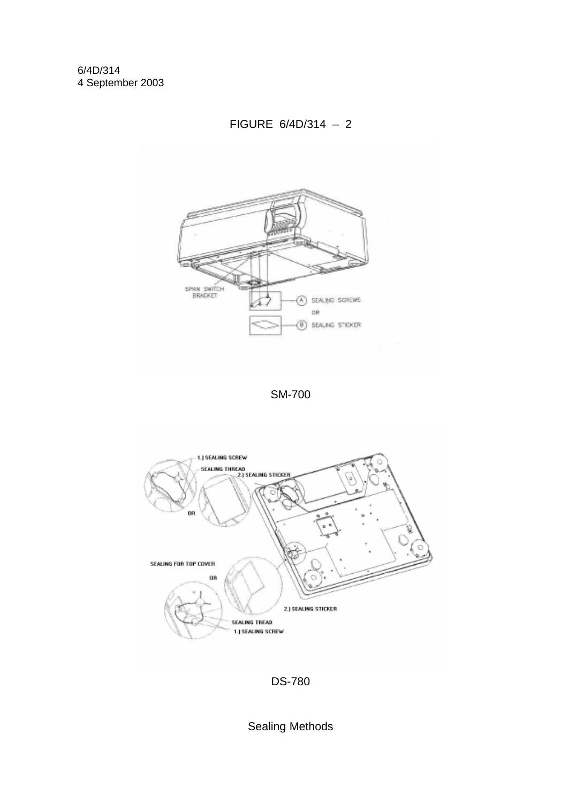

FIGURE 6/4D/314 – 2

SM-700





Sealing Methods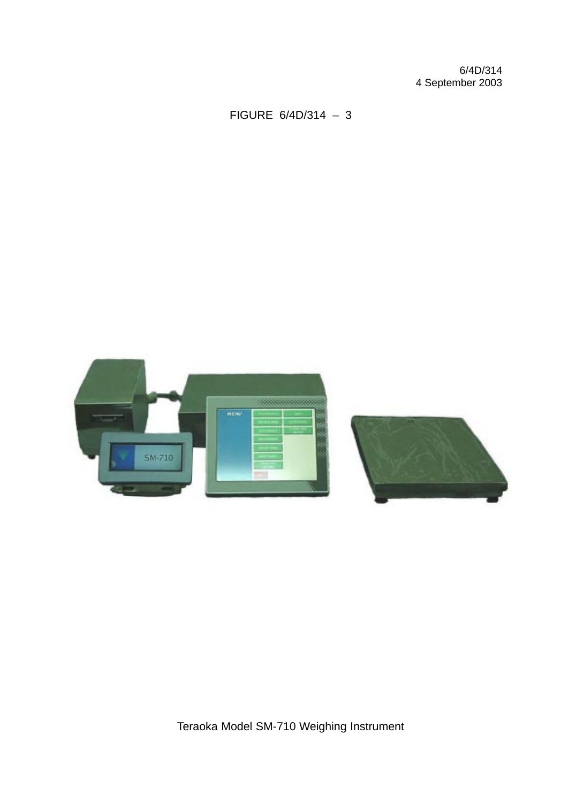FIGURE 6/4D/314 – 3

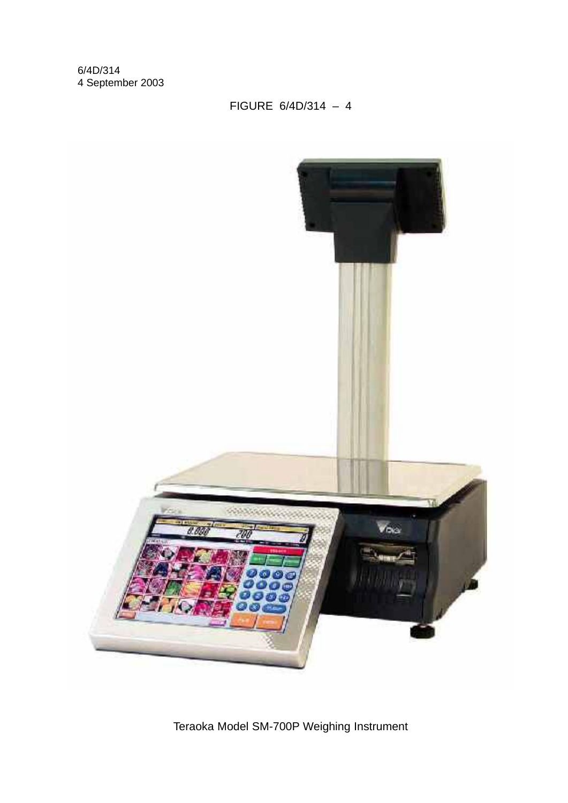# FIGURE 6/4D/314 – 4



Teraoka Model SM-700P Weighing Instrument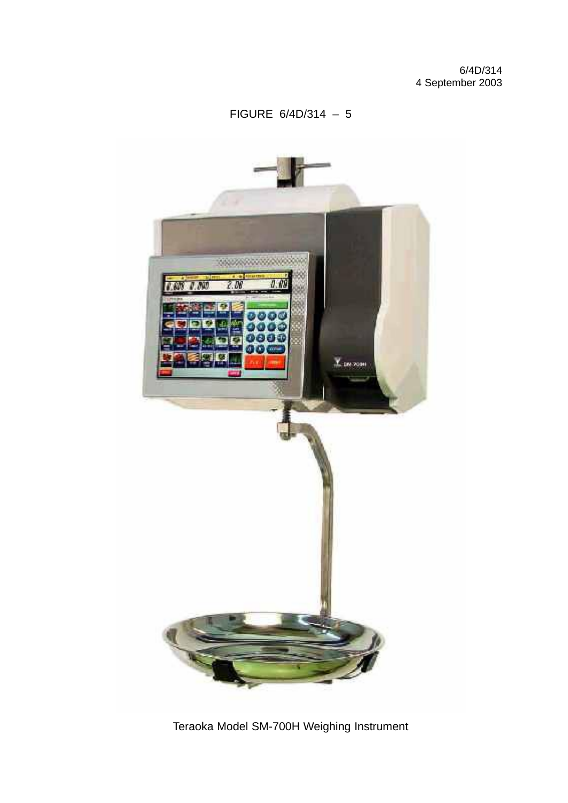### FIGURE 6/4D/314 – 5



Teraoka Model SM-700H Weighing Instrument